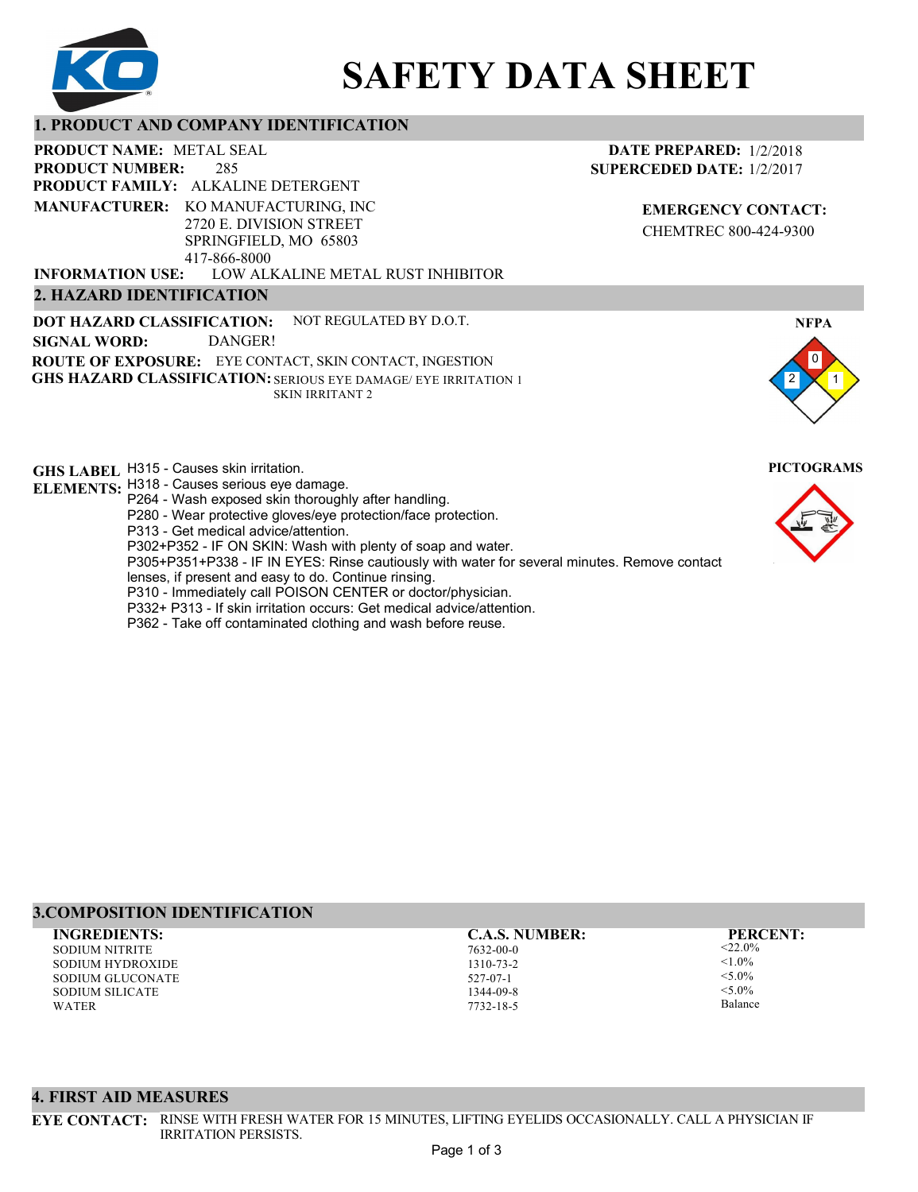

# **SAFETY DATA SHEET**

## **1. PRODUCT AND COMPANY IDENTIFICATION**

285 PRODUCT NAME: METAL SEAL **PRODUCT FAMILY: ALKALINE DETERGENT** LOW ALKALINE METAL RUST INHIBITOR **PRODUCT NUMBER: 2. HAZARD IDENTIFICATION MANUFACTURER:** KO MANUFACTURING, INC 2720 E. DIVISION STREET SPRINGFIELD, MO 65803 417-866-8000 **INFORMATION USE:**

**DOT HAZARD CLASSIFICATION: GHS HAZARD CLASSIFICATION:** SERIOUS EYE DAMAGE/ EYE IRRITATION 1 **ROUTE OF EXPOSURE:** EYE CONTACT, SKIN CONTACT, INGESTION NOT REGULATED BY D.O.T. SKIN IRRITANT 2 **SIGNAL WORD:** DANGER!

**GHS LABEL**  H315 - Causes skin irritation. **PICTOGRAMS**

- **ELEMENTS:** H318 Causes serious eye damage. P264 - Wash exposed skin thoroughly after handling.
	- P280 Wear protective gloves/eye protection/face protection.
	- P313 Get medical advice/attention.
	- P302+P352 IF ON SKIN: Wash with plenty of soap and water.

P305+P351+P338 - IF IN EYES: Rinse cautiously with water for several minutes. Remove contact

- lenses, if present and easy to do. Continue rinsing.
- P310 Immediately call POISON CENTER or doctor/physician.
- P332+ P313 If skin irritation occurs: Get medical advice/attention.
- P362 Take off contaminated clothing and wash before reuse.

# **3.COMPOSITION IDENTIFICATION**

SODIUM NITRITE SODIUM HYDROXIDE SODIUM GLUCONATE SODIUM SILICATE WATER **INGREDIENTS: C.A.S. NUMBER: PERCENT:**

7632-00-0 1310-73-2 527-07-1 1344-09-8 7732-18-5

 $<$ 22.0%  $1.0\%$  $-5.00/$  $< 5.0\%$ Balance

2 1

**EMERGENCY CONTACT:** CHEMTREC 800-424-9300

**DATE PREPARED:** 1/2/2018 **SUPERCEDED DATE:** 1/2/2017

0

**NFPA**





**EYE CONTACT:** RINSE WITH FRESH WATER FOR 15 MINUTES, LIFTING EYELIDS OCCASIONALLY. CALL A PHYSICIAN IF IRRITATION PERSISTS.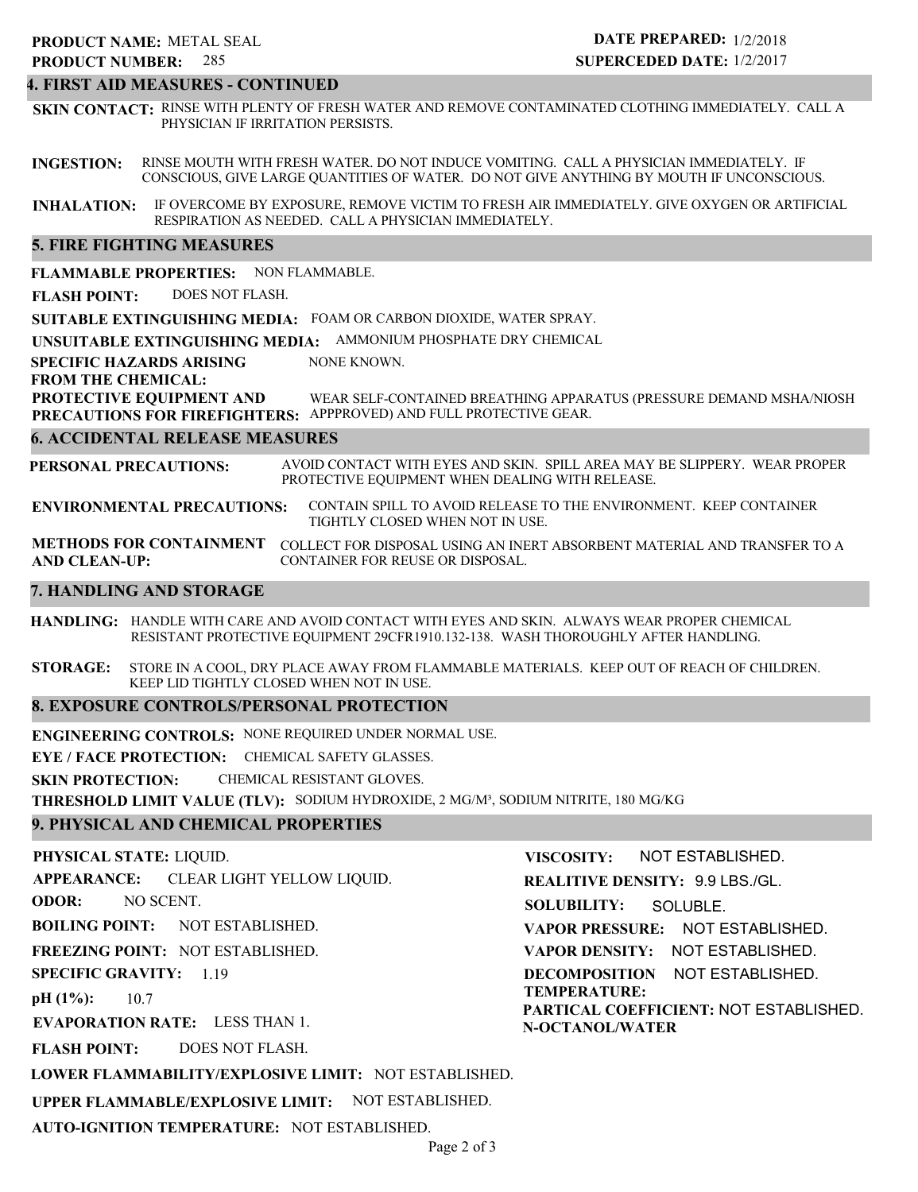# **4. FIRST AID MEASURES - CONTINUED**

**INGESTION:** RINSE MOUTH WITH FRESH WATER. DO NOT INDUCE VOMITING. CALL A PHYSICIAN IMMEDIATELY. IF **SKIN CONTACT:** RINSE WITH PLENTY OF FRESH WATER AND REMOVE CONTAMINATED CLOTHING IMMEDIATELY. CALL A PHYSICIAN IF IRRITATION PERSISTS.

CONSCIOUS, GIVE LARGE QUANTITIES OF WATER. DO NOT GIVE ANYTHING BY MOUTH IF UNCONSCIOUS.

**INHALATION:** IF OVERCOME BY EXPOSURE, REMOVE VICTIM TO FRESH AIR IMMEDIATELY. GIVE OXYGEN OR ARTIFICIAL RESPIRATION AS NEEDED. CALL A PHYSICIAN IMMEDIATELY.

## **5. FIRE FIGHTING MEASURES**

**FLAMMABLE PROPERTIES:** NON FLAMMABLE.

**FLASH POINT:** DOES NOT FLASH.

**SUITABLE EXTINGUISHING MEDIA:** FOAM OR CARBON DIOXIDE, WATER SPRAY.

**UNSUITABLE EXTINGUISHING MEDIA:** AMMONIUM PHOSPHATE DRY CHEMICAL

**SPECIFIC HAZARDS ARISING** NONE KNOWN.

**FROM THE CHEMICAL:**

**PROTECTIVE EQUIPMENT AND PRECAUTIONS FOR FIREFIGHTERS:** APPPROVED) AND FULL PROTECTIVE GEAR. WEAR SELF-CONTAINED BREATHING APPARATUS (PRESSURE DEMAND MSHA/NIOSH

## **6. ACCIDENTAL RELEASE MEASURES**

**PERSONAL PRECAUTIONS:** AVOID CONTACT WITH EYES AND SKIN. SPILL AREA MAY BE SLIPPERY. WEAR PROPER PROTECTIVE EQUIPMENT WHEN DEALING WITH RELEASE.

**ENVIRONMENTAL PRECAUTIONS:** CONTAIN SPILL TO AVOID RELEASE TO THE ENVIRONMENT. KEEP CONTAINER TIGHTLY CLOSED WHEN NOT IN USE.

**METHODS FOR CONTAINMENT** COLLECT FOR DISPOSAL USING AN INERT ABSORBENT MATERIAL AND TRANSFER TO A **AND CLEAN-UP:** CONTAINER FOR REUSE OR DISPOSAL.

## **7. HANDLING AND STORAGE**

**HANDLING:** HANDLE WITH CARE AND AVOID CONTACT WITH EYES AND SKIN. ALWAYS WEAR PROPER CHEMICAL RESISTANT PROTECTIVE EQUIPMENT 29CFR1910.132-138. WASH THOROUGHLY AFTER HANDLING.

**STORAGE:** STORE IN A COOL, DRY PLACE AWAY FROM FLAMMABLE MATERIALS. KEEP OUT OF REACH OF CHILDREN. KEEP LID TIGHTLY CLOSED WHEN NOT IN USE.

## **8. EXPOSURE CONTROLS/PERSONAL PROTECTION**

**ENGINEERING CONTROLS:** NONE REQUIRED UNDER NORMAL USE.

**EYE / FACE PROTECTION:** CHEMICAL SAFETY GLASSES.

**SKIN PROTECTION:** CHEMICAL RESISTANT GLOVES.

**THRESHOLD LIMIT VALUE (TLV):** SODIUM HYDROXIDE, 2 MG/M³, SODIUM NITRITE, 180 MG/KG

## **9. PHYSICAL AND CHEMICAL PROPERTIES**

**PHYSICAL STATE:** LIQUID.

**APPEARANCE:** CLEAR LIGHT YELLOW LIQUID.

**ODOR:** NO SCENT.

**BOILING POINT:** NOT ESTABLISHED.

**FREEZING POINT:** NOT ESTABLISHED.

**SPECIFIC GRAVITY:** 1.19

**pH (1%):** 10.7

**EVAPORATION RATE:** LESS THAN 1.

**FLASH POINT:** DOES NOT FLASH.

**TEMPERATURE: PARTICAL COEFFICIENT:** NOT ESTABLISHED. **N-OCTANOL/WATER**

**VISCOSITY:**

**SOLUBILITY:**

**REALITIVE DENSITY:** 9.9 LBS./GL.

**VAPOR PRESSURE:** NOT ESTABLISHED. **VAPOR DENSITY:** NOT ESTABLISHED. **DECOMPOSITION** NOT ESTABLISHED.

SOLUBLE.

NOT ESTABLISHED.

# **LOWER FLAMMABILITY/EXPLOSIVE LIMIT:** NOT ESTABLISHED.

**UPPER FLAMMABLE/EXPLOSIVE LIMIT:** NOT ESTABLISHED.

**AUTO-IGNITION TEMPERATURE:** NOT ESTABLISHED.